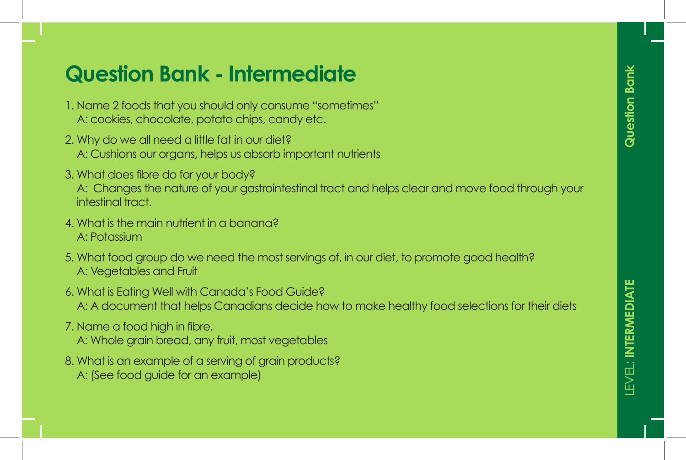- 1. Name 2 foods that you should only consume "sometimes" A: cookies, chocolate, potato chips, candy etc.
- 2. Why do we all need a little fat in our diet? er en pas model anno ranno don alor.<br>A : Cushians aux argans, balns us ghearb impartant pu A: Cushions our organs, helps us absorb important nutrients
- 3. What does fibre do for your body?

A: Changes the nature of your gastrointestinal tract and helps clear and move food through your 1. Lorem intestinal tract. The consected and consected and consected and consected adipiscing adipiscing adipi

- 4. What is the main nutrient in a banana? 3. Lorem ipsum dolor sit amet, consectetuer adipiscing A: Potassium
- 5. What food group do we need the most servings of, in our diet, to promote good health? 6. Lorem ipsum dolor sit amet, consectetuer adipiscing A: Vegetables and Fruit
- A: A document that helps Canadians decide how to make healthy food selections for their diets Lorem ipsum dolor sit amet, consectetuer adipiscing. 6. What is Eating Well with Canada's Food Guide?
- 7. Name a food high in fibre.
	- A: Whole grain bread, any fruit, most vegetables
- 8. What is an example of a serving of grain products? A: (See food guide for an example)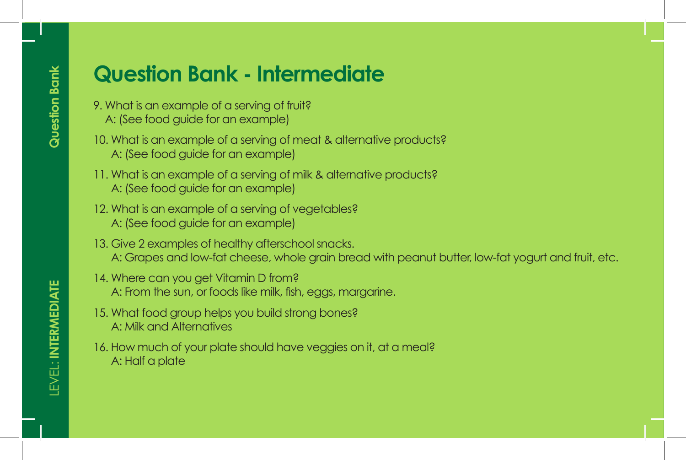- **MATERIALS ARTE:** 9. What is an example of a serving of fruit?
- Lorem insulface food guide for an example)
- <sup>1</sup> lo. What is an example of a serving of meat & alternative products? • Lorem is an oxample of a scrimg of mean a am<br>A • ISoo food quido for an oxamplo! • A: (See food guide for an example)
- **GAME:**  11. What is an example of a serving of milk & alternative products? A: (See food guide for an example)
- 12. What is an example of a serving of vegetables? 2. Lorem in the consequence of the consequence of the consequence of the consequence of the consequence of the consected  $A:$  (See food guide for an example)  $\frac{1}{2}$ . Lorem insurance and consected ameter and consected and consected and consected and consected adipiscing and consected and consected and consected and consected and consected and consected and consected and cons
- $\parallel$  13. Give 2 examples of healthy afterschool snacks.  $\blacksquare$  A: Grapes and low-fat cheese, whole grain bread with peanut butter, low-fat yogurt and fruit, etc.
- **1. Lorem installer site and situate and situate and property** and the 14. Where can you get Vitamin D from? A: From the sun, or foods like milk, fish, eggs, margarine.
- **MODIFIERS: 15. What food group helps you build strong bones?** A: Milk and Alternatives
	- 16. How much of your plate should have veggies on it, at a meal? A: Half a plate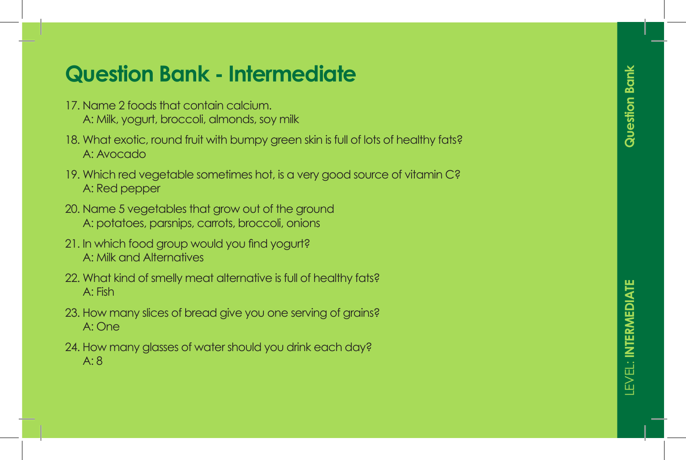- 17. Name 2 foods that contain calcium. A: Milk, yogurt, broccoli, almonds, soy milk
- 18. What exotic, round fruit with bumpy green skin is full of lots of healthy fats? A: Avocado
- 19. Which red vegetable sometimes hot, is a very good source of vitamin C? A: Red pepper
- 20. Name 5 vegetables that grow out of the ground A: potatoes, parsnips, carrots, broccoli, onions
- 21. In which food group would you find yogurt? A: Milk and Alternatives
- 22. What kind of smelly meat alternative is full of healthy fats? A: Fish
- 23. How many slices of bread give you one serving of grains? A: One
- 24. How many glasses of water should you drink each day? A: 8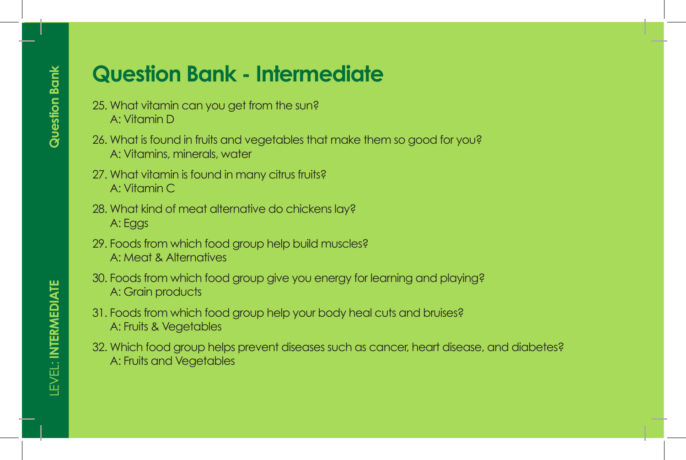- 25. What vitamin can you get from the sun? A: Vitamin D
- 26. What is found in fruits and vegetables that make them so good for you? A: Vitamins, minerals, water
- 27. What vitamin is found in many citrus fruits? A: Vitamin C
- 28. What kind of meat alternative do chickens lay? A: Eggs
- 29. Foods from which food group help build muscles? A: Meat & Alternatives
- 30. Foods from which food group give you energy for learning and playing? A: Grain products
- 31. Foods from which food group help your body heal cuts and bruises? A: Fruits & Vegetables
- 32. Which food group helps prevent diseases such as cancer, heart disease, and diabetes? A: Fruits and Vegetables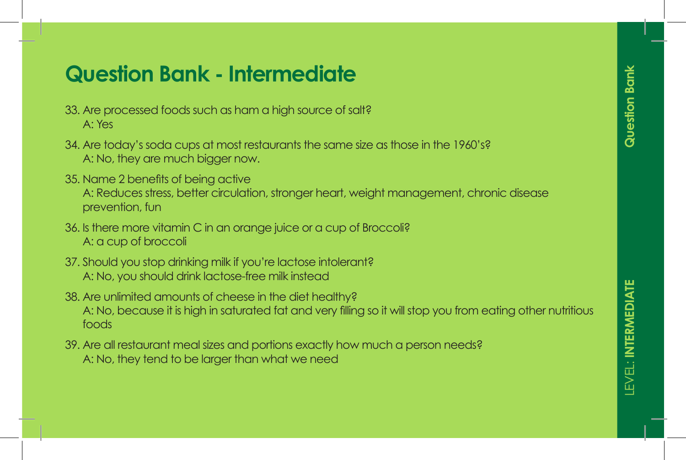- 33. Are processed foods such as ham a high source of salt? A: Yes
- 34. Are today's soda cups at most restaurants the same size as those in the 1960's? A: No, they are much bigger now.
- 35. Name 2 benefits of being active A: Reduces stress, better circulation, stronger heart, weight management, chronic disease prevention, fun
- 36. Is there more vitamin C in an orange juice or a cup of Broccoli? A: a cup of broccoli
- 37. Should you stop drinking milk if you're lactose intolerant? A: No, you should drink lactose-free milk instead
- 38. Are unlimited amounts of cheese in the diet healthy? A: No, because it is high in saturated fat and very filling so it will stop you from eating other nutritious foods
- 39. Are all restaurant meal sizes and portions exactly how much a person needs? A: No, they tend to be larger than what we need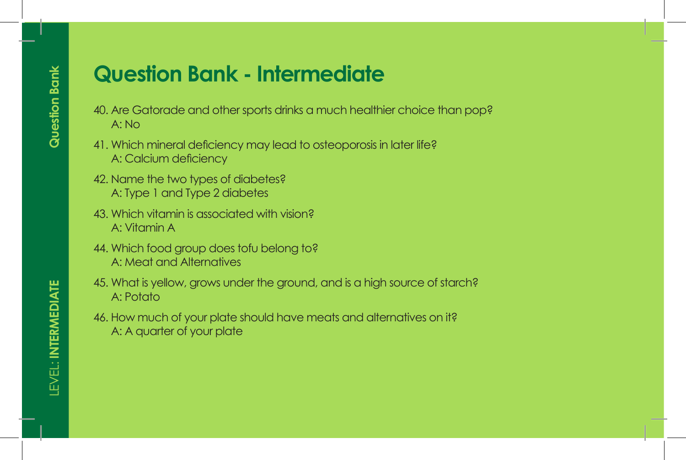- 40. Are Gatorade and other sports drinks a much healthier choice than pop? A: No
- 41. Which mineral deficiency may lead to osteoporosis in later life? A: Calcium deficiency
- 42. Name the two types of diabetes? A: Type 1 and Type 2 diabetes
- 43. Which vitamin is associated with vision? A: Vitamin A
- 44. Which food group does tofu belong to? A: Meat and Alternatives
- 45. What is yellow, grows under the ground, and is a high source of starch? A: Potato
- 46. How much of your plate should have meats and alternatives on it? A: A quarter of your plate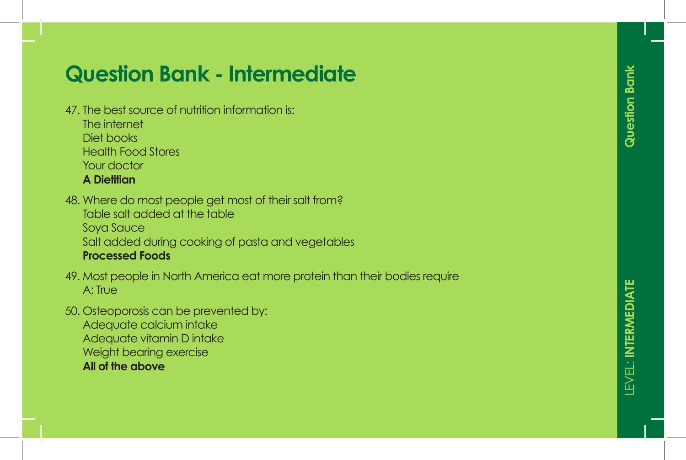- 47. The best source of nutrition information is: The internet Diet books Health Food Stores Your doctor **A Dietitian**
- 48. Where do most people get most of their salt from? Table salt added at the table Soya Sauce Salt added during cooking of pasta and vegetables **Processed Foods**
- 49. Most people in North America eat more protein than their bodies require A: True
- 50. Osteoporosis can be prevented by: Adequate calcium intake Adequate vitamin D intake Weight bearing exercise **All of the above**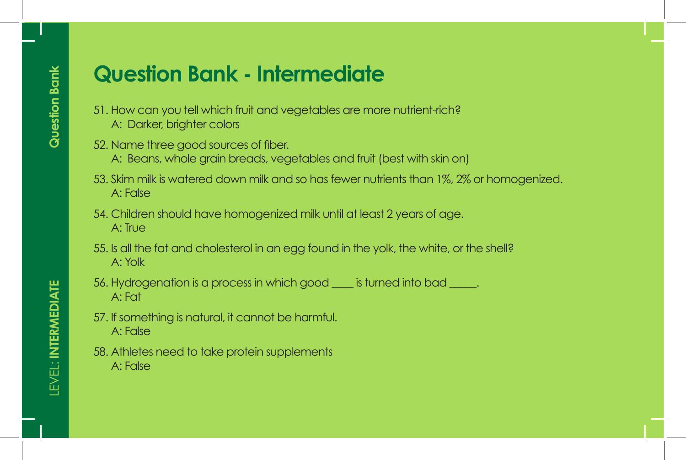- 51. How can you tell which fruit and vegetables are more nutrient-rich? A: Darker, brighter colors
- 52. Name three good sources of fiber.
	- A: Beans, whole grain breads, vegetables and fruit (best with skin on)
- 53. Skim milk is watered down milk and so has fewer nutrients than 1%, 2% or homogenized. A: False
- 54. Children should have homogenized milk until at least 2 years of age. A: True
- 55. Is all the fat and cholesterol in an egg found in the yolk, the white, or the shell? A: Yolk
- 56. Hydrogenation is a process in which good is turned into bad  $\Box$ . A: Fat
- 57. If something is natural, it cannot be harmful. A: False
- 58. Athletes need to take protein supplements A: False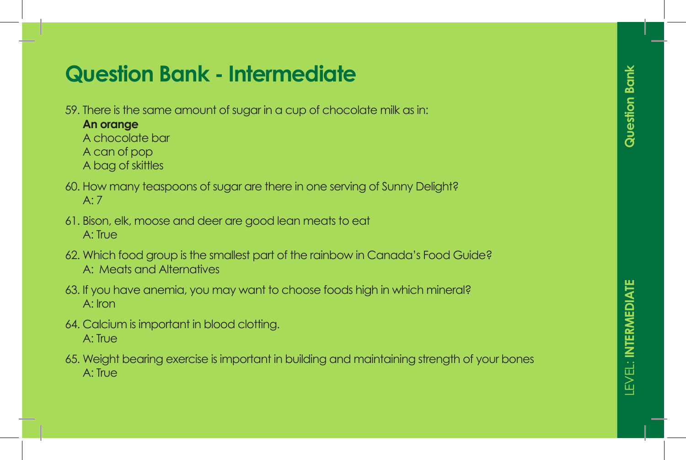- 59. There is the same amount of sugar in a cup of chocolate milk as in:
	- **An orange**
	- A chocolate bar
	- A can of pop
	- A bag of skittles
- 60. How many teaspoons of sugar are there in one serving of Sunny Delight? A: 7
- 61. Bison, elk, moose and deer are good lean meats to eat A: True
- 62. Which food group is the smallest part of the rainbow in Canada's Food Guide? A: Meats and Alternatives
- 63. If you have anemia, you may want to choose foods high in which mineral? A: Iron
- 64. Calcium is important in blood clotting. A: True
- 65. Weight bearing exercise is important in building and maintaining strength of your bones A: True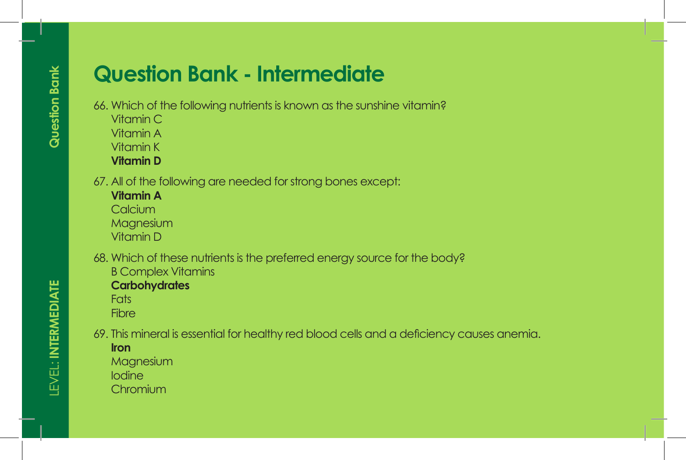- 66. Which of the following nutrients is known as the sunshine vitamin?
	- Vitamin C
	- Vitamin A
	- Vitamin K
	- **Vitamin D**
- 67. All of the following are needed for strong bones except:
	- **Vitamin A Calcium** Magnesium Vitamin D
- 68. Which of these nutrients is the preferred energy source for the body? B Complex Vitamins
	- **Carbohydrates**
	- **Fats**
	- **Fibre**
- 69. This mineral is essential for healthy red blood cells and a deficiency causes anemia.

#### **Iron**

Magnesium

- Iodine
- **Chromium**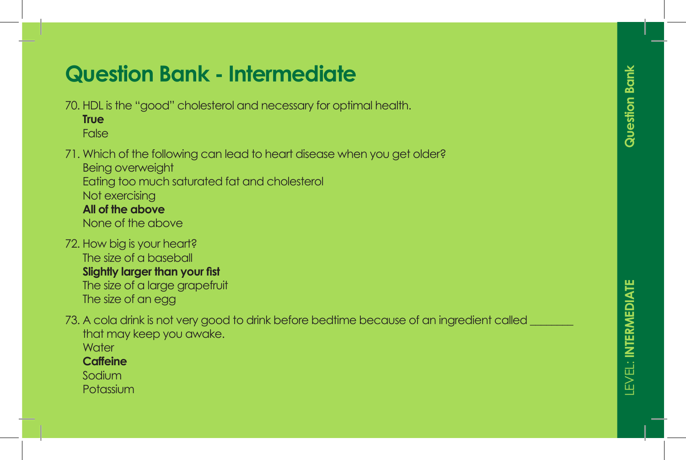70. HDL is the "good" cholesterol and necessary for optimal health.

**True** False

#### 71. Which of the following can lead to heart disease when you get older?

Being overweight Eating too much saturated fat and cholesterol Not exercising **All of the above**

None of the above

- 72. How big is your heart? The size of a baseball **Slightly larger than your fist** The size of a large grapefruit The size of an egg
- 73. A cola drink is not very good to drink before bedtime because of an ingredient called that may keep you awake.
	- **Water**

**Caffeine**

Sodium

**Potassium**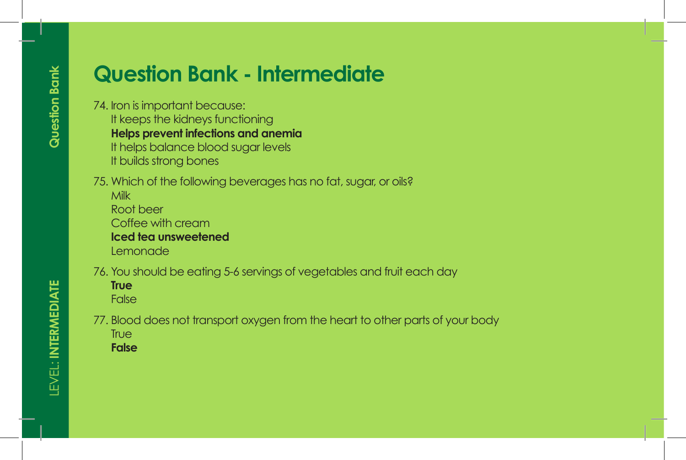- 74. Iron is important because: It keeps the kidneys functioning **Helps prevent infections and anemia** It helps balance blood sugar levels It builds strong bones
- 75. Which of the following beverages has no fat, sugar, or oils? Milk Root beer
	- Coffee with cream **Iced tea unsweetened**
	- Lemonade
- 76. You should be eating 5-6 servings of vegetables and fruit each day
	- **True** False
- 77. Blood does not transport oxygen from the heart to other parts of your body **True** 
	- **False**